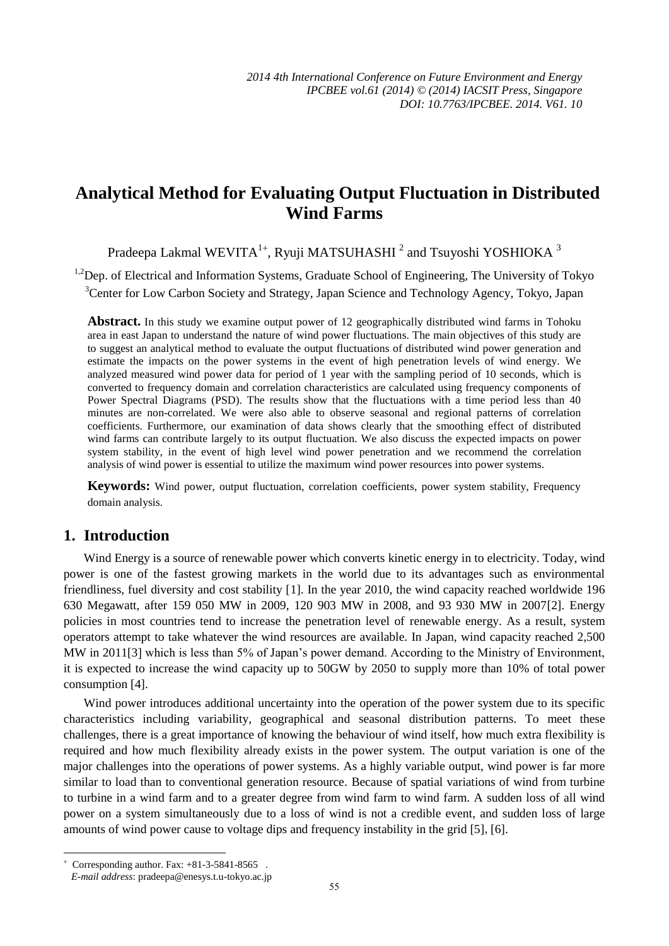# **Analytical Method for Evaluating Output Fluctuation in Distributed Wind Farms**

Pradeepa Lakmal WEVITA $^{1+}$ , Ryuji MATSUHASHI $^2$  and Tsuyoshi YOSHIOKA  $^3$ 

<sup>1,2</sup>Dep. of Electrical and Information Systems, Graduate School of Engineering, The University of Tokyo <sup>3</sup>Center for Low Carbon Society and Strategy, Japan Science and Technology Agency, Tokyo, Japan

**Abstract.** In this study we examine output power of 12 geographically distributed wind farms in Tohoku area in east Japan to understand the nature of wind power fluctuations. The main objectives of this study are to suggest an analytical method to evaluate the output fluctuations of distributed wind power generation and estimate the impacts on the power systems in the event of high penetration levels of wind energy. We analyzed measured wind power data for period of 1 year with the sampling period of 10 seconds, which is converted to frequency domain and correlation characteristics are calculated using frequency components of Power Spectral Diagrams (PSD). The results show that the fluctuations with a time period less than 40 minutes are non-correlated. We were also able to observe seasonal and regional patterns of correlation coefficients. Furthermore, our examination of data shows clearly that the smoothing effect of distributed wind farms can contribute largely to its output fluctuation. We also discuss the expected impacts on power system stability, in the event of high level wind power penetration and we recommend the correlation analysis of wind power is essential to utilize the maximum wind power resources into power systems.

**Keywords:** Wind power, output fluctuation, correlation coefficients, power system stability, Frequency domain analysis.

## **1. Introduction**

Wind Energy is a source of renewable power which converts kinetic energy in to electricity. Today, wind power is one of the fastest growing markets in the world due to its advantages such as environmental friendliness, fuel diversity and cost stability [1]. In the year 2010, the wind capacity reached worldwide 196 630 Megawatt, after 159 050 MW in 2009, 120 903 MW in 2008, and 93 930 MW in 2007[2]. Energy policies in most countries tend to increase the penetration level of renewable energy. As a result, system operators attempt to take whatever the wind resources are available. In Japan, wind capacity reached 2,500 MW in 2011[3] which is less than 5% of Japan's power demand. According to the Ministry of Environment, it is expected to increase the wind capacity up to 50GW by 2050 to supply more than 10% of total power consumption [4].

Wind power introduces additional uncertainty into the operation of the power system due to its specific characteristics including variability, geographical and seasonal distribution patterns. To meet these challenges, there is a great importance of knowing the behaviour of wind itself, how much extra flexibility is required and how much flexibility already exists in the power system. The output variation is one of the major challenges into the operations of power systems. As a highly variable output, wind power is far more similar to load than to conventional generation resource. Because of spatial variations of wind from turbine to turbine in a wind farm and to a greater degree from wind farm to wind farm. A sudden loss of all wind power on a system simultaneously due to a loss of wind is not a credible event, and sudden loss of large amounts of wind power cause to voltage dips and frequency instability in the grid [5],[6].

1

 $\overline{+}$ Corresponding author. Fax: +81-3-5841-8565 .

*E-mail address*: pradeepa@enesys.t.u-tokyo.ac.jp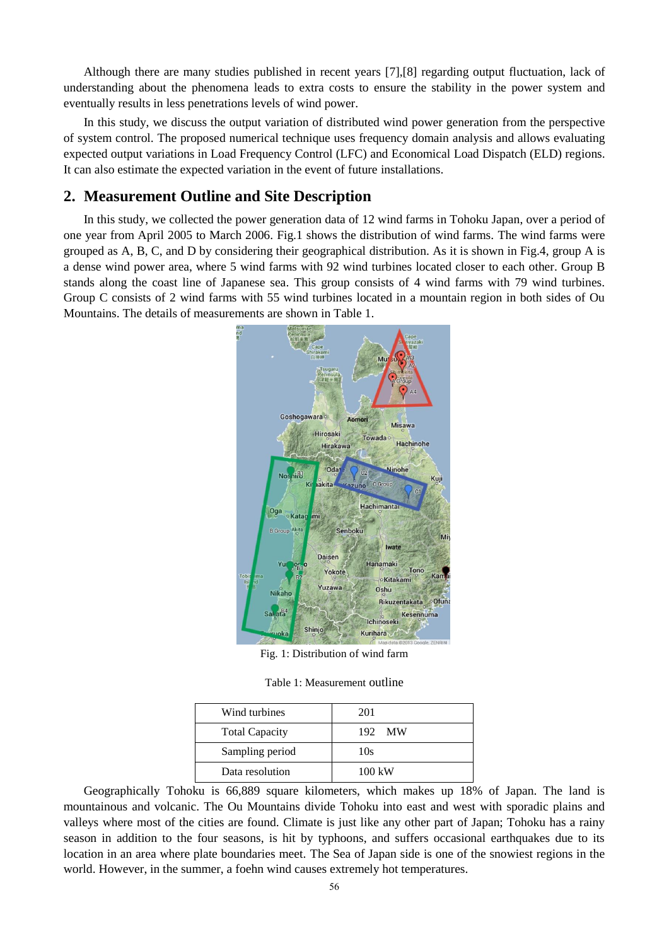Although there are many studies published in recent years [7],[8] regarding output fluctuation, lack of understanding about the phenomena leads to extra costs to ensure the stability in the power system and eventually results in less penetrations levels of wind power.

In this study, we discuss the output variation of distributed wind power generation from the perspective of system control. The proposed numerical technique uses frequency domain analysis and allows evaluating expected output variations in Load Frequency Control (LFC) and Economical Load Dispatch (ELD) regions. It can also estimate the expected variation in the event of future installations.

### **2. Measurement Outline and Site Description**

In this study, we collected the power generation data of 12 wind farms in Tohoku Japan, over a period of one year from April 2005 to March 2006. Fig.1 shows the distribution of wind farms. The wind farms were grouped as A, B, C, and D by considering their geographical distribution. As it is shown in Fig.4, group A is a dense wind power area, where 5 wind farms with 92 wind turbines located closer to each other. Group B stands along the coast line of Japanese sea. This group consists of 4 wind farms with 79 wind turbines. Group C consists of 2 wind farms with 55 wind turbines located in a mountain region in both sides of Ou Mountains. The details of measurements are shown in Table 1.



Fig. 1: Distribution of wind farm

Table 1: Measurement outline

| Wind turbines         | 201    |
|-----------------------|--------|
| <b>Total Capacity</b> | 192 MW |
| Sampling period       | 10s    |
| Data resolution       | 100 kW |

Geographically Tohoku is 66,889 square kilometers, which makes up 18% of Japan. The land is mountainous and volcanic. The Ou Mountains divide Tohoku into east and west with sporadic plains and valleys where most of the cities are found. Climate is just like any other part of Japan; Tohoku has a rainy season in addition to the four seasons, is hit by typhoons, and suffers occasional earthquakes due to its location in an area where plate boundaries meet. The Sea of Japan side is one of the snowiest regions in the world. However, in the summer, a foehn wind causes extremely hot temperatures.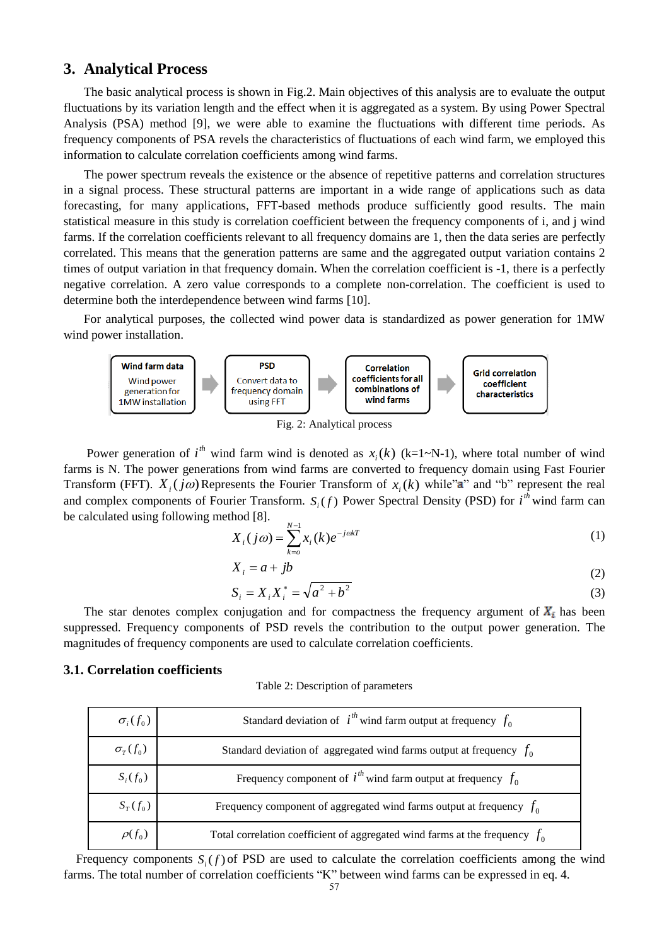### **3. Analytical Process**

The basic analytical process is shown in Fig.2. Main objectives of this analysis are to evaluate the output fluctuations by its variation length and the effect when it is aggregated as a system. By using Power Spectral Analysis (PSA) method [9], we were able to examine the fluctuations with different time periods. As frequency components of PSA revels the characteristics of fluctuations of each wind farm, we employed this information to calculate correlation coefficients among wind farms.

The power spectrum reveals the existence or the absence of repetitive patterns and correlation structures in a signal process. These structural patterns are important in a wide range of applications such as data forecasting, for many applications, FFT-based methods produce sufficiently good results. The main statistical measure in this study is correlation coefficient between the frequency components of i, and j wind farms. If the correlation coefficients relevant to all frequency domains are 1, then the data series are perfectly correlated. This means that the generation patterns are same and the aggregated output variation contains 2 times of output variation in that frequency domain. When the correlation coefficient is -1, there is a perfectly negative correlation. A zero value corresponds to a complete non-correlation. The coefficient is used to determine both the interdependence between wind farms [10].

For analytical purposes, the collected wind power data is standardized as power generation for 1MW wind power installation.



Fig. 2: Analytical process

Power generation of  $i^{th}$  wind farm wind is denoted as  $x_i(k)$  (k=1~N-1), where total number of wind farms is N. The power generations from wind farms are converted to frequency domain using Fast Fourier Transform (FFT).  $X_i(j\omega)$  Represents the Fourier Transform of  $x_i(k)$  while"a" and "b" represent the real and complex components of Fourier Transform.  $S_i(f)$  Power Spectral Density (PSD) for  $i<sup>th</sup>$  wind farm can be calculated using following method [8].

$$
X_i(j\omega) = \sum_{k=0}^{N-1} x_i(k)e^{-j\omega kT}
$$
 (1)

$$
X_i = a + jb \tag{2}
$$

$$
S_i = X_i X_i^* = \sqrt{a^2 + b^2}
$$
 (3)

The star denotes complex conjugation and for compactness the frequency argument of  $X_i$  has been suppressed. Frequency components of PSD revels the contribution to the output power generation. The magnitudes of frequency components are used to calculate correlation coefficients.

#### **3.1. Correlation coefficients**

Table 2: Description of parameters

| $\sigma_i(f_0)$ | Standard deviation of $i^{th}$ wind farm output at frequency $f_0$            |
|-----------------|-------------------------------------------------------------------------------|
| $\sigma_T(f_0)$ | Standard deviation of aggregated wind farms output at frequency $f_0$         |
| $S_i(f_0)$      | Frequency component of $i^{th}$ wind farm output at frequency $f_0$           |
| $S_T(f_0)$      | Frequency component of aggregated wind farms output at frequency $f_0$        |
| $\rho(f_0)$     | Total correlation coefficient of aggregated wind farms at the frequency $f_0$ |

Frequency components  $S_i(f)$  of PSD are used to calculate the correlation coefficients among the wind farms. The total number of correlation coefficients "K" between wind farms can be expressed in eq. 4.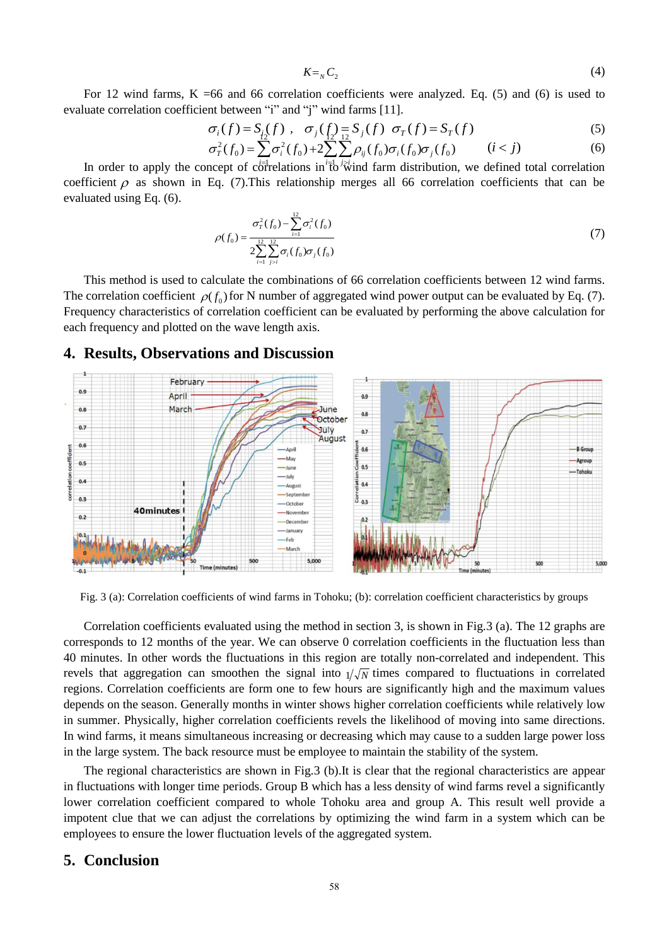$$
K =_{N} C_2 \tag{4}
$$

For 12 wind farms,  $K = 66$  and 66 correlation coefficients were analyzed. Eq. (5) and (6) is used to evaluate correlation coefficient between "i" and "j" wind farms [11].

$$
\sigma_i(f) = S_i(f) , \quad \sigma_j(f) = S_j(f) \quad \sigma_T(f) = S_T(f) \tag{5}
$$

$$
\sigma_r^2(f_0) = \sum_i \sigma_i^2(f_0) + 2 \sum_i \sum_j \rho_{ij}(f_0) \sigma_i(f_0) \sigma_j(f_0) \qquad (i < j)
$$
 (6)

In order to apply the concept of correlations in  $i\bar{b}$  wind farm distribution, we defined total correlation coefficient  $\rho$  as shown in Eq. (7). This relationship merges all 66 correlation coefficients that can be evaluated using Eq. (6).

$$
\rho(f_0) = \frac{\sigma_r^2(f_0) - \sum_{i=1}^{12} \sigma_i^2(f_0)}{2 \sum_{i=1}^{12} \sum_{j>i}^{12} \sigma_i(f_0) \sigma_j(f_0)}
$$
(7)

This method is used to calculate the combinations of 66 correlation coefficients between 12 wind farms. The correlation coefficient  $\rho(f_0)$  for N number of aggregated wind power output can be evaluated by Eq. (7). Frequency characteristics of correlation coefficient can be evaluated by performing the above calculation for each frequency and plotted on the wave length axis.

# **4. Results, Observations and Discussion**



Fig. 3 (a): Correlation coefficients of wind farms in Tohoku; (b): correlation coefficient characteristics by groups

Correlation coefficients evaluated using the method in section 3, is shown in Fig.3 (a). The 12 graphs are corresponds to 12 months of the year. We can observe 0 correlation coefficients in the fluctuation less than 40 minutes. In other words the fluctuations in this region are totally non-correlated and independent. This revels that aggregation can smoothen the signal into  $1/\sqrt{N}$  times compared to fluctuations in correlated regions. Correlation coefficients are form one to few hours are significantly high and the maximum values depends on the season. Generally months in winter shows higher correlation coefficients while relatively low in summer. Physically, higher correlation coefficients revels the likelihood of moving into same directions. In wind farms, it means simultaneous increasing or decreasing which may cause to a sudden large power loss in the large system. The back resource must be employee to maintain the stability of the system.

The regional characteristics are shown in Fig.3 (b).It is clear that the regional characteristics are appear in fluctuations with longer time periods. Group B which has a less density of wind farms revel a significantly lower correlation coefficient compared to whole Tohoku area and group A. This result well provide a impotent clue that we can adjust the correlations by optimizing the wind farm in a system which can be employees to ensure the lower fluctuation levels of the aggregated system.

### **5. Conclusion**